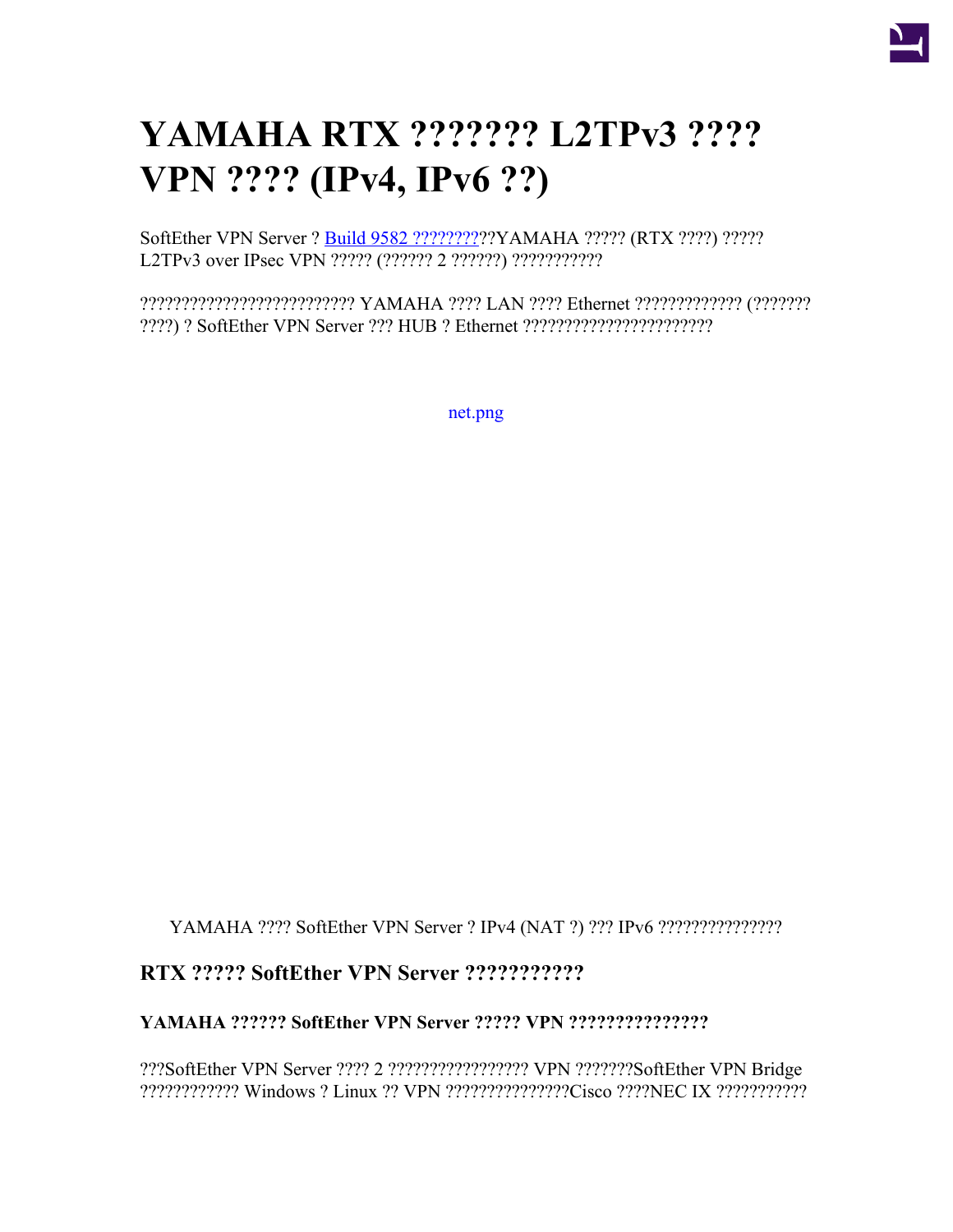

# **YAMAHA RTX ??????? L2TPv3 ???? VPN ???? (IPv4, IPv6 ??)**

SoftEther VPN Server ? [Build 9582 ?????????](https://ja.softether.org/5-download/history)??YAMAHA ????? (RTX ????) ????? L2TPv3 over IPsec VPN ????? (?????? 2 ??????) ????????????

?????????????????????????? YAMAHA ???? LAN ???? Ethernet ????????????? (??????? ????) ? SoftEther VPN Server ??? HUB ? Ethernet ???????????????????????

[net.png](https://ja.softether.org/@api/deki/files/691/=net.png)

YAMAHA ???? SoftEther VPN Server ? IPv4 (NAT ?) ??? IPv6 ???????????????

## **RTX ????? SoftEther VPN Server ???????????**

### **YAMAHA ?????? SoftEther VPN Server ????? VPN ???????????????**

???SoftEther VPN Server ???? 2 ????????????????? VPN ???????SoftEther VPN Bridge ???????????? Windows ? Linux ?? VPN ???????????????Cisco ????NEC IX ???????????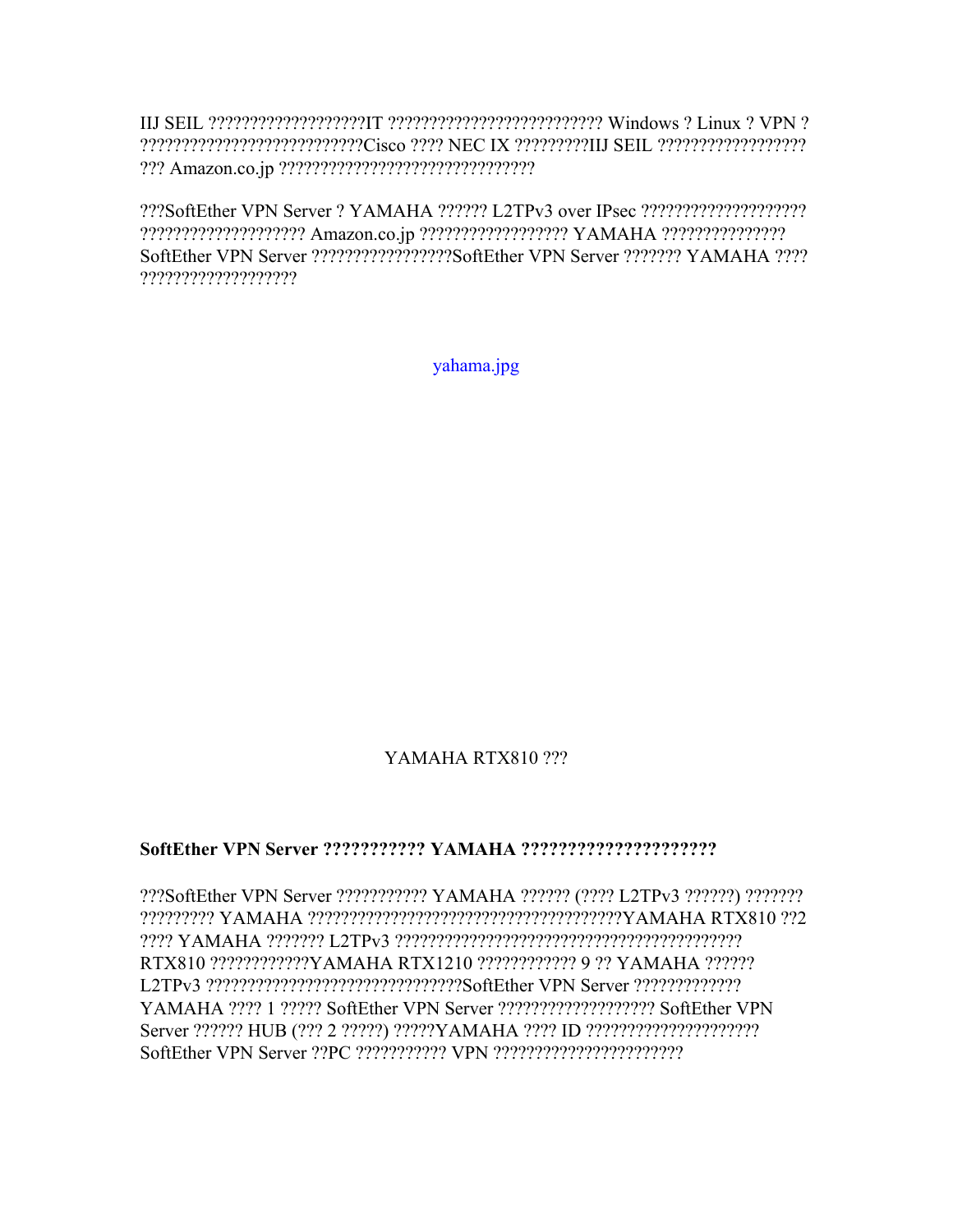IIJ SEIL ???????????????????IT ?????????????????????????? Windows ? Linux ? VPN ? ???????????????????????????Cisco ???? NEC IX ?????????IIJ SEIL ?????????????????? ??? Amazon.co.jp ???????????????????????????????

???SoftEther VPN Server ? YAMAHA ?????? L2TPv3 over IPsec ???????????????????? ???????????????????? Amazon.co.jp ?????????????????? YAMAHA ??????????????? SoftEther VPN Server ?????????????????SoftEther VPN Server ??????? YAMAHA ???? ???????????????????

[yahama.jpg](https://ja.softether.org/@api/deki/files/693/=yahama.jpg)

## YAMAHA RTX810 ???

#### **SoftEther VPN Server ??????????? YAMAHA ?????????????????????**

???SoftEther VPN Server ??????????? YAMAHA ?????? (???? L2TPv3 ??????) ??????? ????????? YAMAHA ??????????????????????????????????????YAMAHA RTX810 ??2 ???? YAMAHA ??????? L2TPv3 ?????????????????????????????????????????? RTX810 ????????????YAMAHA RTX1210 ???????????? 9 ?? YAMAHA ?????? L2TPv3 ???????????????????????????????SoftEther VPN Server ????????????? YAMAHA ???? 1 ????? SoftEther VPN Server ??????????????????? SoftEther VPN Server ?????? HUB (??? 2 ?????) ?????YAMAHA ???? ID ????????????????????? SoftEther VPN Server ??PC ??????????? VPN ???????????????????????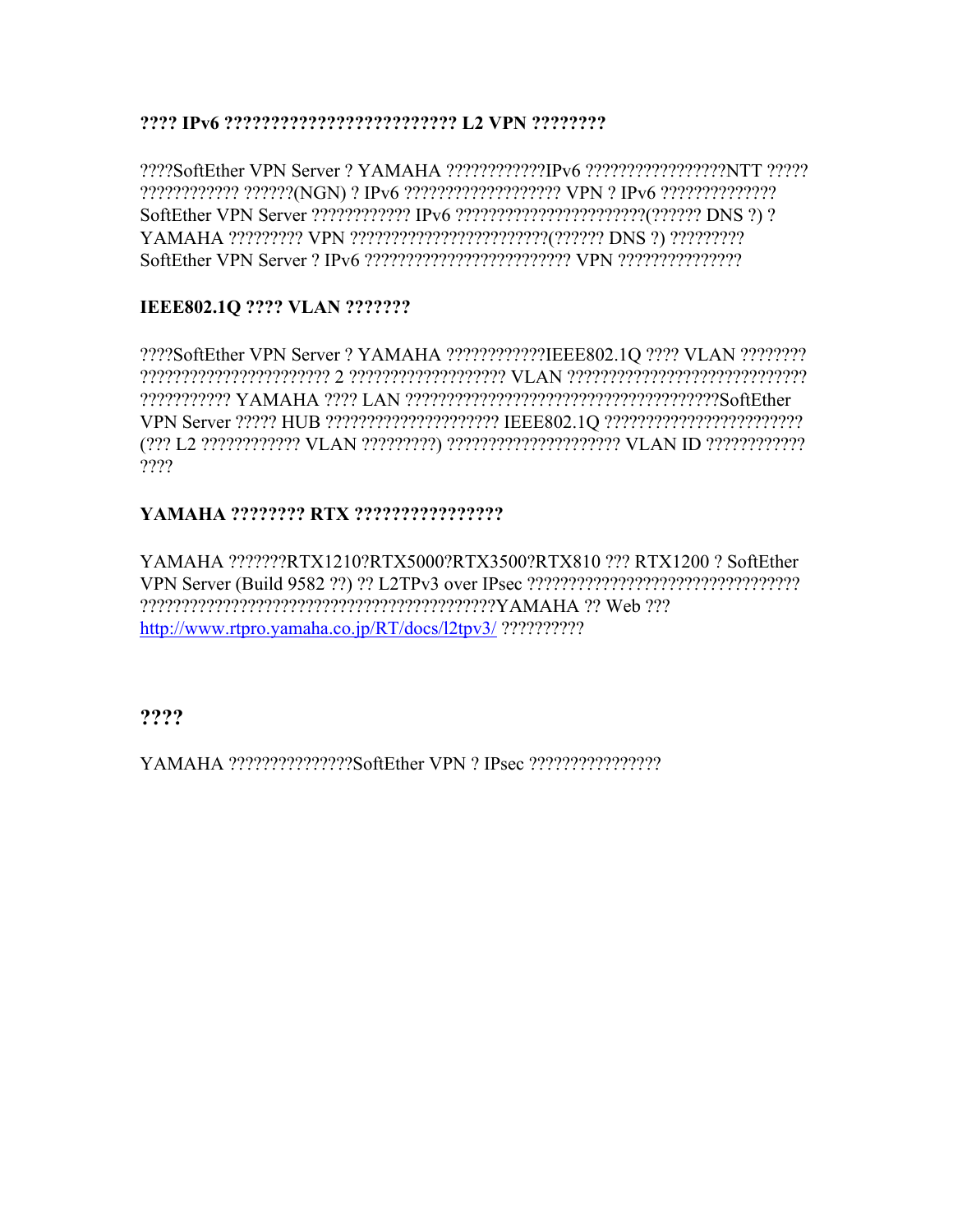**???? IPv6 ????????????????????????? L2 VPN ????????**

????SoftEther VPN Server ? YAMAHA ????????????IPv6 ?????????????????NTT ????? ???????????? ??????(NGN) ? IPv6 ??????????????????? VPN ? IPv6 ?????????????? SoftEther VPN Server ???????????? IPv6 ???????????????????????(?????? DNS ?) ? YAMAHA ????????? VPN ????????????????????????(?????? DNS ?) ????????? SoftEther VPN Server ? IPv6 ????????????????????????? VPN ???????????????

## **IEEE802.1Q ???? VLAN ???????**

????SoftEther VPN Server ? YAMAHA ????????????IEEE802.1Q ???? VLAN ???????? ??????????????????????? 2 ??????????????????? VLAN ????????????????????????????? ??????????? YAMAHA ???? LAN ??????????????????????????????????????SoftEther VPN Server ????? HUB ????????????????????? IEEE802.1Q ???????????????????????? (??? L2 ???????????? VLAN ?????????) ????????????????????? VLAN ID ???????????? ????

## **YAMAHA ???????? RTX ????????????????**

YAMAHA ???????RTX1210?RTX5000?RTX3500?RTX810 ??? RTX1200 ? SoftEther VPN Server (Build 9582 ??) ?? L2TPv3 over IPsec ????????????????????????????????? ???????????????????????????????????????????YAMAHA ?? Web ??? <http://www.rtpro.yamaha.co.jp/RT/docs/l2tpv3/> ??????????

**????**

YAMAHA ???????????????SoftEther VPN ? IPsec ????????????????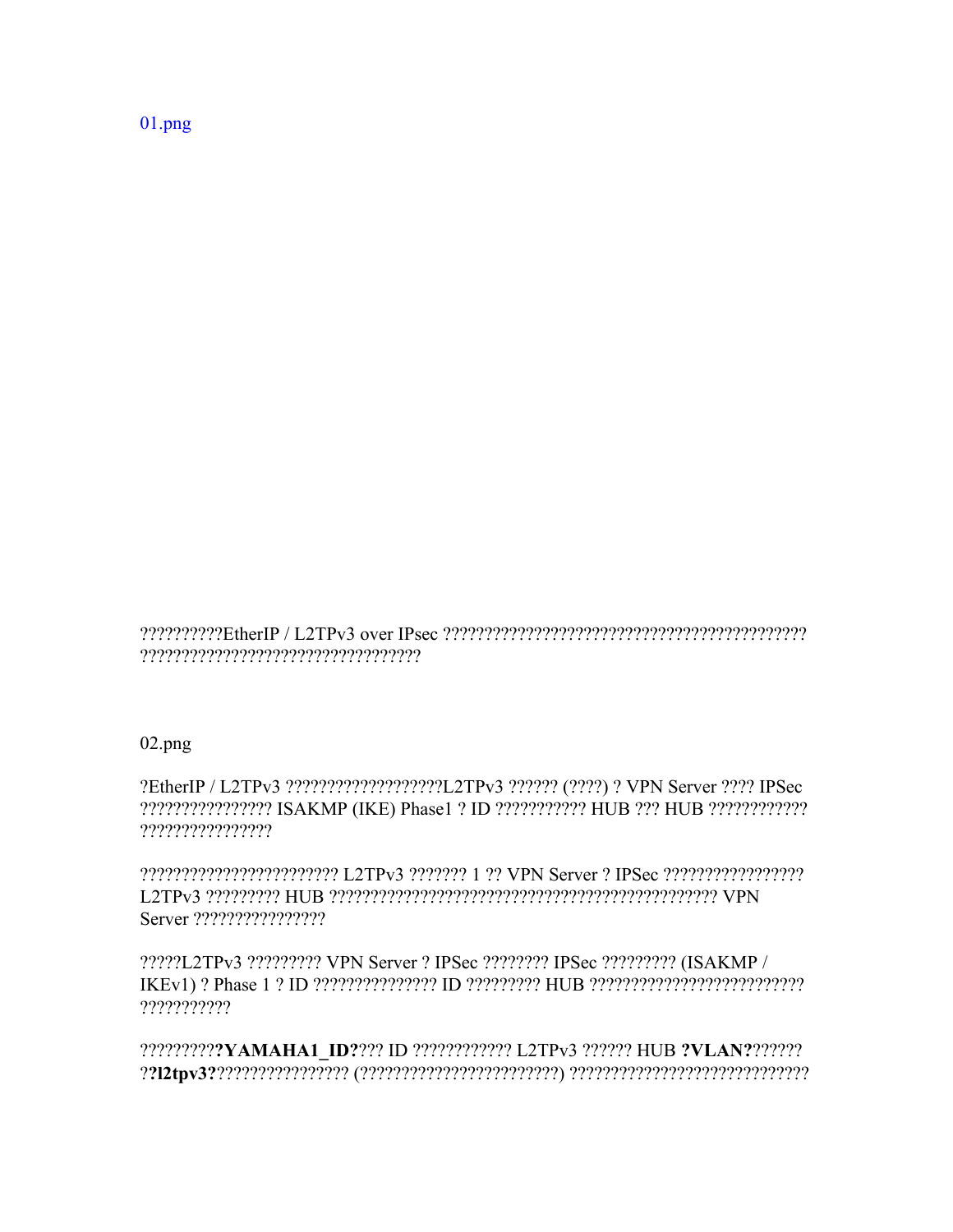$01.png$ 

 $02.png$ 

?EtherIP / L2TPv3 ????????????????????IL2TPv3 ?????? (????) ? VPN Server ???? IPSec ???????????????? ISAKMP (IKE) Phase1 ? ID ??????????? HUB ??? HUB ?????????????? ????????????????

?????L2TPv3 ????????? VPN Server ? IPSec ???????? IPSec ????????? (ISAKMP / ???????????

???????????YAMAHA1 ID???? ID ???????????? L2TPv3 ?????? HUB ?VLAN???????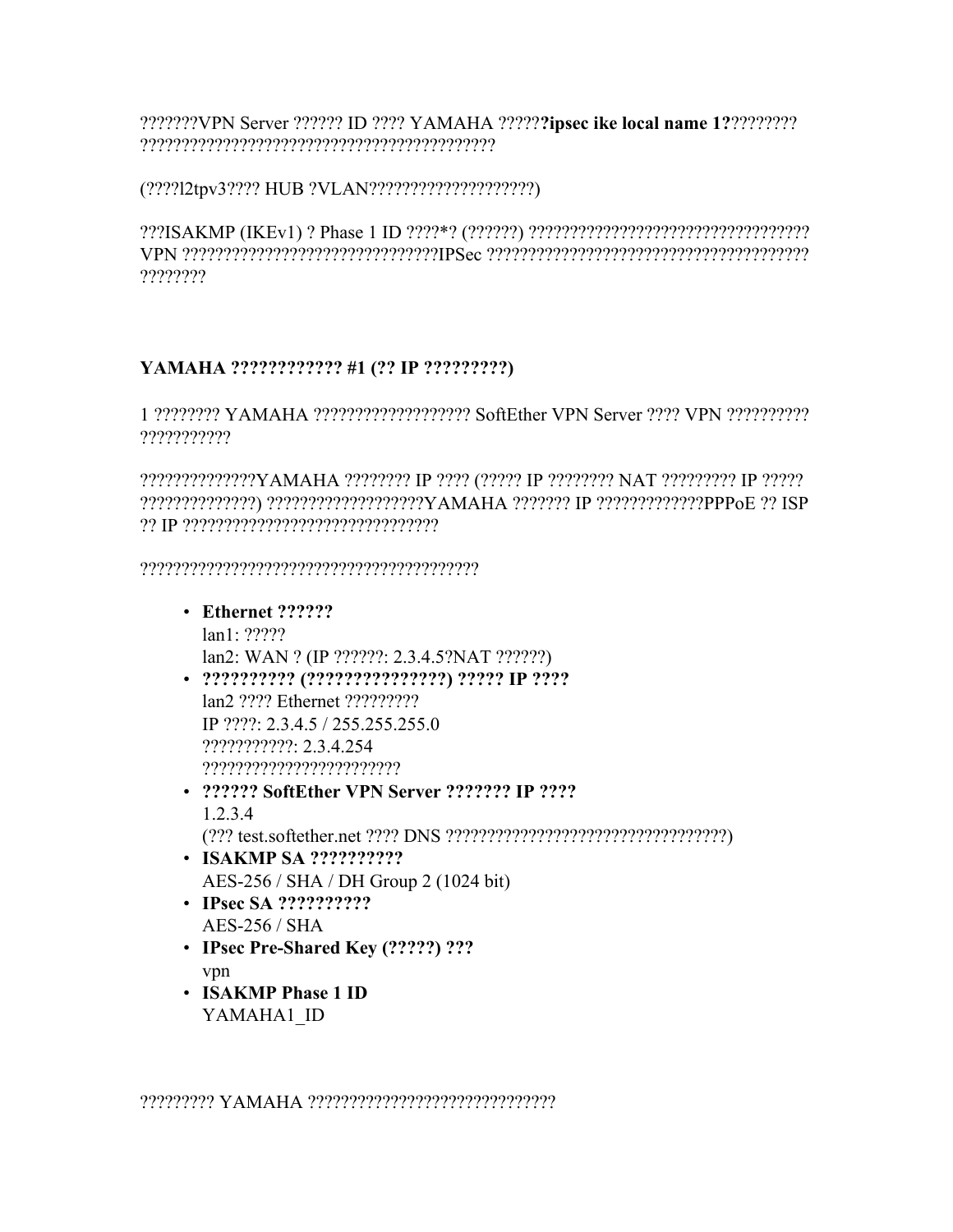???????VPN Server ?????? ID ???? YAMAHA ?????**?ipsec ike local name 1?**???????? ???????????????????????????????????????????

(????l2tpv3???? HUB ?VLAN????????????????????)

???ISAKMP (IKEv1) ? Phase 1 ID ????\*? (??????) ?????????????????????????????????? VPN ???????????????????????????????IPSec ??????????????????????????????????????? ????????

## **YAMAHA ???????????? #1 (?? IP ?????????)**

1 ???????? YAMAHA ??????????????????? SoftEther VPN Server ???? VPN ?????????? ???????????

??????????????YAMAHA ???????? IP ???? (????? IP ???????? NAT ????????? IP ????? ??????????????) ???????????????????YAMAHA ??????? IP ?????????????PPPoE ?? ISP ?? IP ???????????????????????????????

?????????????????????????????????????????

- **Ethernet ??????** lan1: ????? lan2: WAN ? (IP ??????: 2.3.4.5?NAT ??????)
- **?????????? (???????????????) ????? IP ????** lan2 ???? Ethernet ????????? IP ????: 2.3.4.5 / 255.255.255.0 ???????????: 2.3.4.254 ????????????????????????
- **?????? SoftEther VPN Server ??????? IP ????** 1.2.3.4 (??? test.softether.net ???? DNS ??????????????????????????????????)
- **ISAKMP SA ??????????** AES-256 / SHA / DH Group 2 (1024 bit)
- **IPsec SA ??????????** AES-256 / SHA
- **IPsec Pre-Shared Key (?????) ???** vpn
- **ISAKMP Phase 1 ID** YAMAHA1\_ID

????????? YAMAHA ??????????????????????????????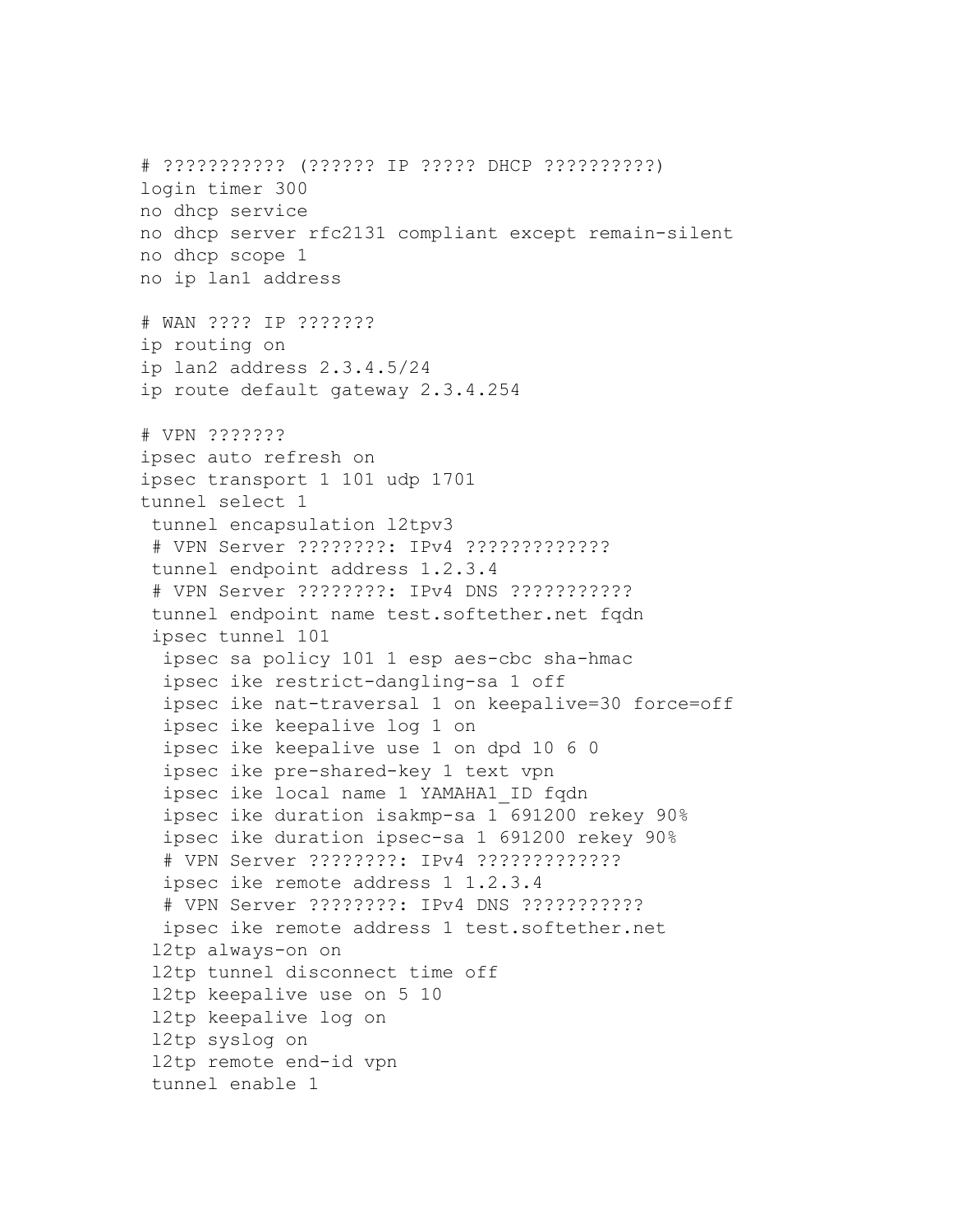# ??????????? (?????? IP ????? DHCP ??????????) login timer 300 no dhcp service no dhcp server rfc2131 compliant except remain-silent no dhcp scope 1 no ip lan1 address # WAN ???? IP ??????? ip routing on ip lan2 address 2.3.4.5/24 ip route default gateway 2.3.4.254 # VPN ??????? ipsec auto refresh on ipsec transport 1 101 udp 1701 tunnel select 1 tunnel encapsulation l2tpv3 # VPN Server ????????: IPv4 ????????????? tunnel endpoint address 1.2.3.4 # VPN Server ????????: IPv4 DNS ??????????? tunnel endpoint name test.softether.net fqdn ipsec tunnel 101 ipsec sa policy 101 1 esp aes-cbc sha-hmac ipsec ike restrict-dangling-sa 1 off ipsec ike nat-traversal 1 on keepalive=30 force=off ipsec ike keepalive log 1 on ipsec ike keepalive use 1 on dpd 10 6 0 ipsec ike pre-shared-key 1 text vpn ipsec ike local name 1 YAMAHA1\_ID fqdn ipsec ike duration isakmp-sa 1 691200 rekey 90% ipsec ike duration ipsec-sa 1 691200 rekey 90% # VPN Server ????????: IPv4 ????????????? ipsec ike remote address 1 1.2.3.4 # VPN Server ????????: IPv4 DNS ??????????? ipsec ike remote address 1 test.softether.net l2tp always-on on l2tp tunnel disconnect time off l2tp keepalive use on 5 10 l2tp keepalive log on l2tp syslog on l2tp remote end-id vpn tunnel enable 1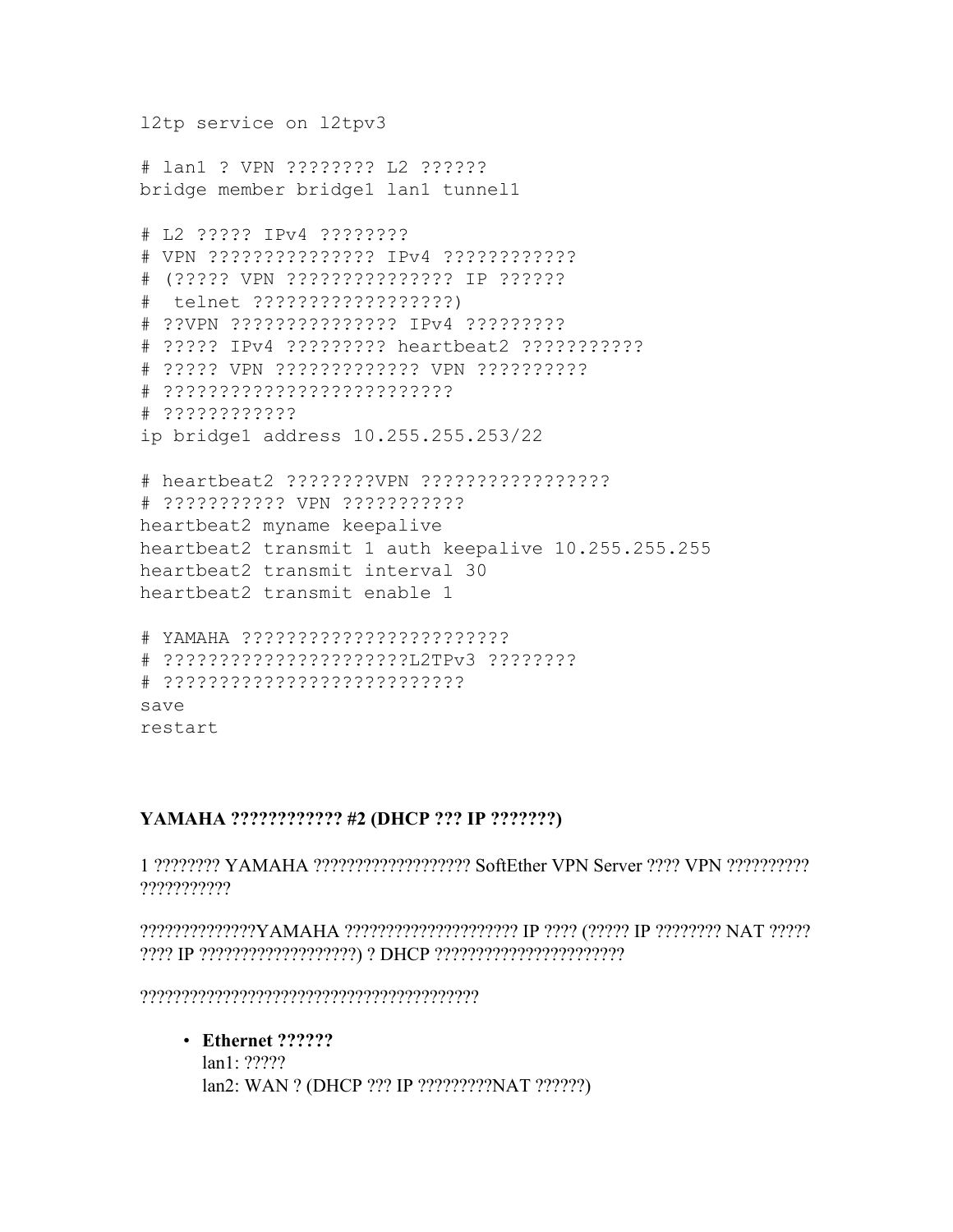l2tp service on l2tpv3

# lan1 ? VPN ???????? L2 ?????? bridge member bridge1 lan1 tunnel1

# L2 ????? IPv4 ???????? # VPN ??????????????? IPv4 ???????????? # (????? VPN ??????????????? IP ?????? # telnet ??????????????????) # ??VPN ??????????????? IPv4 ????????? # ????? IPv4 ????????? heartbeat2 ??????????? # ????? VPN ????????????? VPN ?????????? # ?????????????????????????? # ???????????? ip bridge1 address 10.255.255.253/22

# heartbeat2 ????????VPN ????????????????? # ??????????? VPN ??????????? heartbeat2 myname keepalive heartbeat2 transmit 1 auth keepalive 10.255.255.255 heartbeat2 transmit interval 30 heartbeat2 transmit enable 1

```
# YAMAHA ????????????????????????
# ??????????????????????L2TPv3 ????????
# ???????????????????????????
save
restart
```
#### **YAMAHA ???????????? #2 (DHCP ??? IP ???????)**

1 ???????? YAMAHA ??????????????????? SoftEther VPN Server ???? VPN ?????????? ???????????

??????????????YAMAHA ????????????????????? IP ???? (????? IP ???????? NAT ????? ???? IP ???????????????????) ? DHCP ???????????????????????

?????????????????????????????????????????

• **Ethernet ??????**

lan1: ????? lan2: WAN ? (DHCP ??? IP ?????????NAT ??????)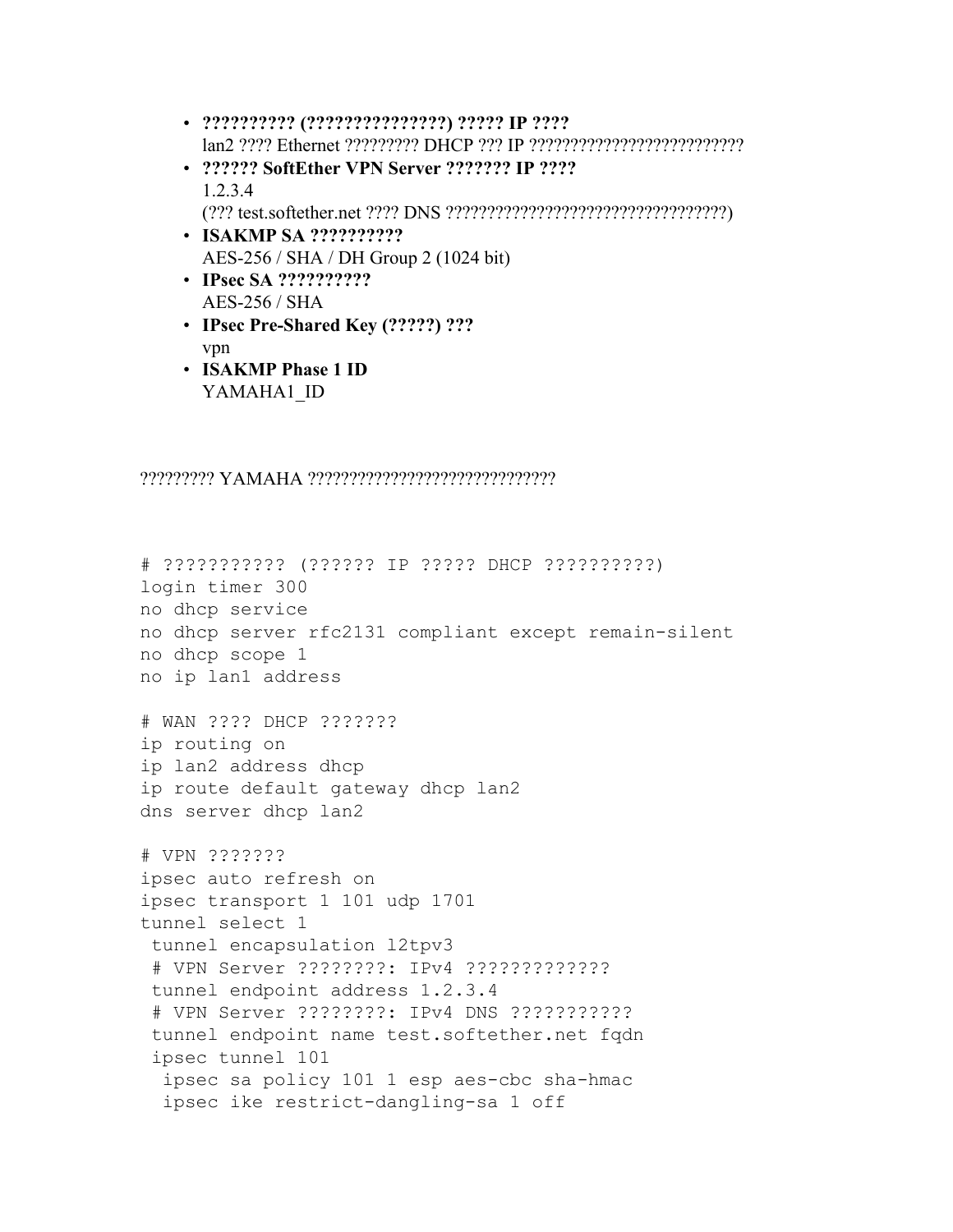- **?????????? (???????????????) ????? IP ????** lan2 ???? Ethernet ????????? DHCP ??? IP ??????????????????????????
- **?????? SoftEther VPN Server ??????? IP ????** 1.2.3.4 (??? test.softether.net ???? DNS ??????????????????????????????????)
- **ISAKMP SA ??????????** AES-256 / SHA / DH Group 2 (1024 bit)
- **IPsec SA ??????????** AES-256 / SHA
- **IPsec Pre-Shared Key (?????) ???** vpn
- **ISAKMP Phase 1 ID** YAMAHA1\_ID

????????? YAMAHA ??????????????????????????????

```
# ??????????? (?????? IP ????? DHCP ??????????)
login timer 300
no dhcp service
no dhcp server rfc2131 compliant except remain-silent
no dhcp scope 1
no ip lan1 address
# WAN ???? DHCP ???????
ip routing on
ip lan2 address dhcp
ip route default gateway dhcp lan2
dns server dhcp lan2
# VPN ???????
ipsec auto refresh on
ipsec transport 1 101 udp 1701
tunnel select 1
tunnel encapsulation l2tpv3
# VPN Server ????????: IPv4 ?????????????
tunnel endpoint address 1.2.3.4
 # VPN Server ????????: IPv4 DNS ???????????
tunnel endpoint name test.softether.net fqdn
ipsec tunnel 101
 ipsec sa policy 101 1 esp aes-cbc sha-hmac
  ipsec ike restrict-dangling-sa 1 off
```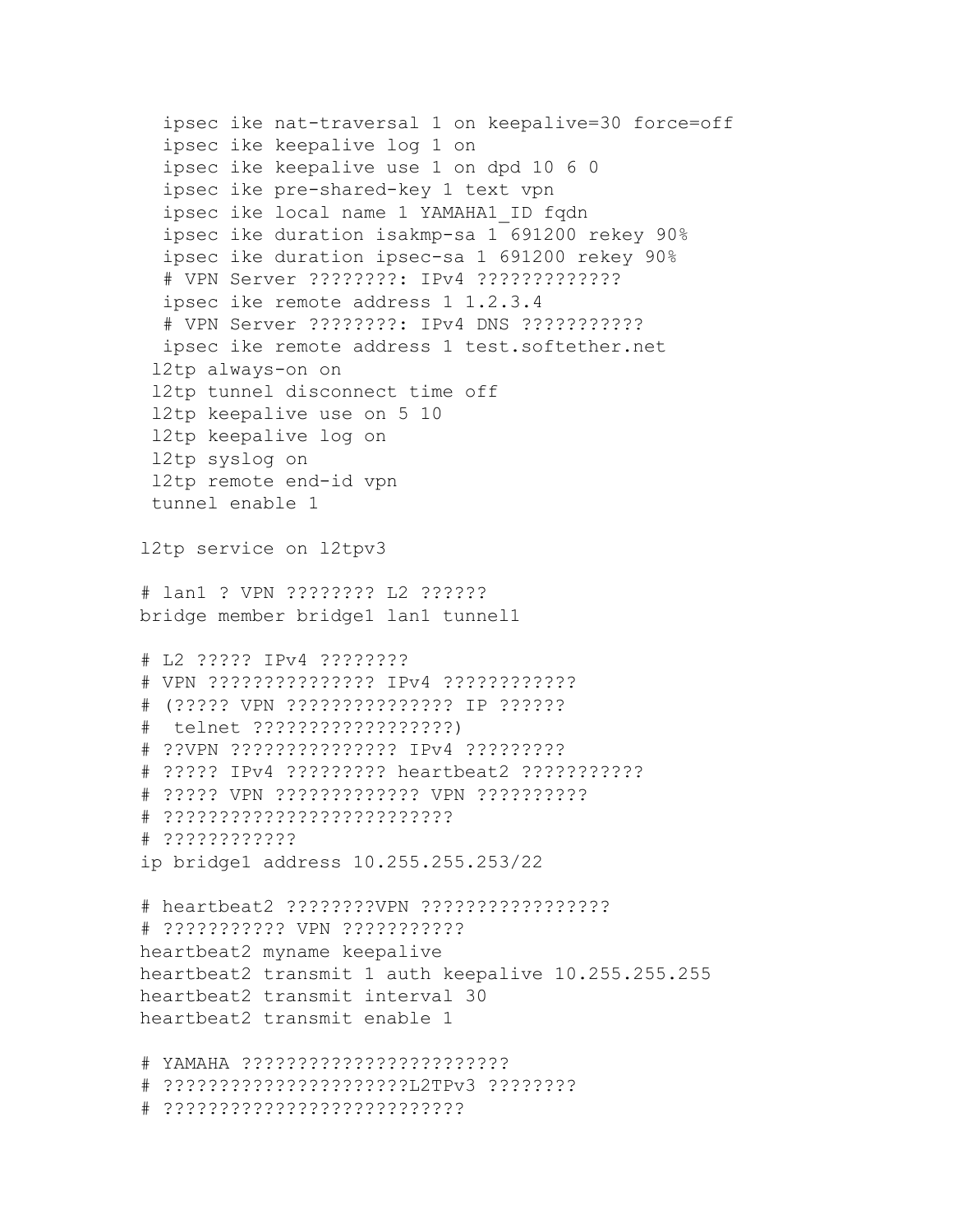```
ipsec ike nat-traversal 1 on keepalive=30 force=off
  ipsec ike keepalive log 1 on
  ipsec ike keepalive use 1 on dpd 10 6 0
  ipsec ike pre-shared-key 1 text vpn
  ipsec ike local name 1 YAMAHA1_ID fqdn
  ipsec ike duration isakmp-sa 1 691200 rekey 90%
  ipsec ike duration ipsec-sa 1 691200 rekey 90%
  # VPN Server ????????: IPv4 ?????????????
  ipsec ike remote address 1 1.2.3.4
  # VPN Server ????????: IPv4 DNS ???????????
  ipsec ike remote address 1 test.softether.net
 l2tp always-on on
 l2tp tunnel disconnect time off
 l2tp keepalive use on 5 10
 l2tp keepalive log on
 l2tp syslog on
 l2tp remote end-id vpn
 tunnel enable 1
l2tp service on l2tpv3
# lan1 ? VPN ???????? L2 ??????
bridge member bridge1 lan1 tunnel1
# L2 ????? IPv4 ????????
# VPN ??????????????? IPv4 ????????????
# (????? VPN ??????????????? IP ??????
# telnet ??????????????????)
# ??VPN ??????????????? IPv4 ?????????
# ????? IPv4 ????????? heartbeat2 ???????????
# ????? VPN ????????????? VPN ??????????
# ??????????????????????????
# ????????????
ip bridge1 address 10.255.255.253/22
# heartbeat2 ????????VPN ?????????????????
# ??????????? VPN ???????????
heartbeat2 myname keepalive
heartbeat2 transmit 1 auth keepalive 10.255.255.255
heartbeat2 transmit interval 30
heartbeat2 transmit enable 1
# YAMAHA ????????????????????????
# ??????????????????????L2TPv3 ????????
# ???????????????????????????
```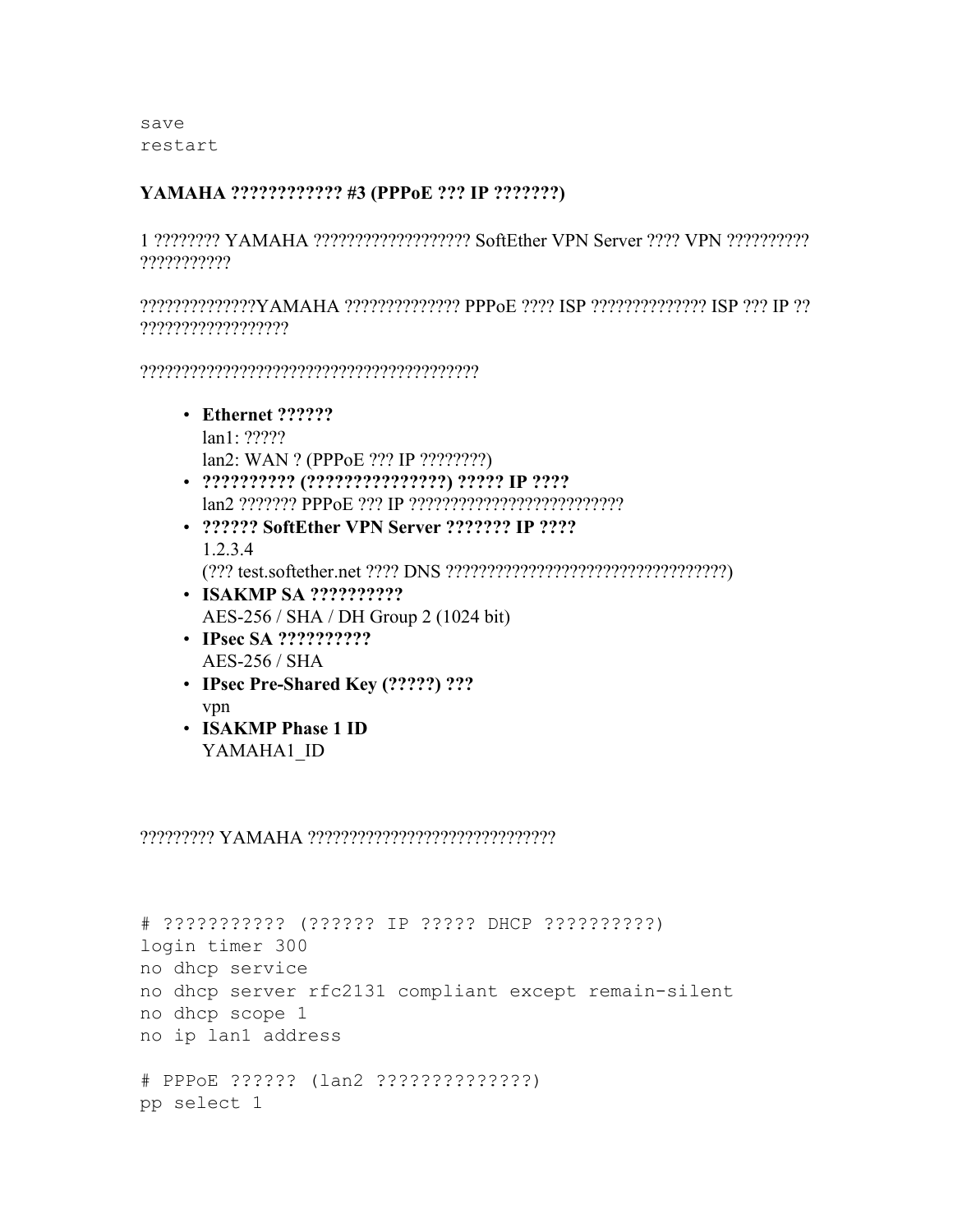save restart

#### **YAMAHA ???????????? #3 (PPPoE ??? IP ???????)**

1 ???????? YAMAHA ??????????????????? SoftEther VPN Server ???? VPN ?????????? ???????????

??????????????YAMAHA ?????????????? PPPoE ???? ISP ?????????????? ISP ??? IP ?? ??????????????????

?????????????????????????????????????????

- **Ethernet ??????** lan1: ????? lan2: WAN ? (PPPoE ??? IP ????????)
- **?????????? (???????????????) ????? IP ????** lan2 ??????? PPPoE ??? IP ??????????????????????????
- **?????? SoftEther VPN Server ??????? IP ????** 1.2.3.4
- (??? test.softether.net ???? DNS ??????????????????????????????????) • **ISAKMP SA ??????????**
	- AES-256 / SHA / DH Group 2 (1024 bit)
- **IPsec SA ??????????** AES-256 / SHA
- **IPsec Pre-Shared Key (?????) ???** vpn
- **ISAKMP Phase 1 ID** YAMAHA1\_ID

#### ????????? YAMAHA ??????????????????????????????

```
# ??????????? (?????? IP ????? DHCP ??????????)
login timer 300
no dhcp service
no dhcp server rfc2131 compliant except remain-silent
no dhcp scope 1
no ip lan1 address
# PPPoE ?????? (lan2 ??????????????)
pp select 1
```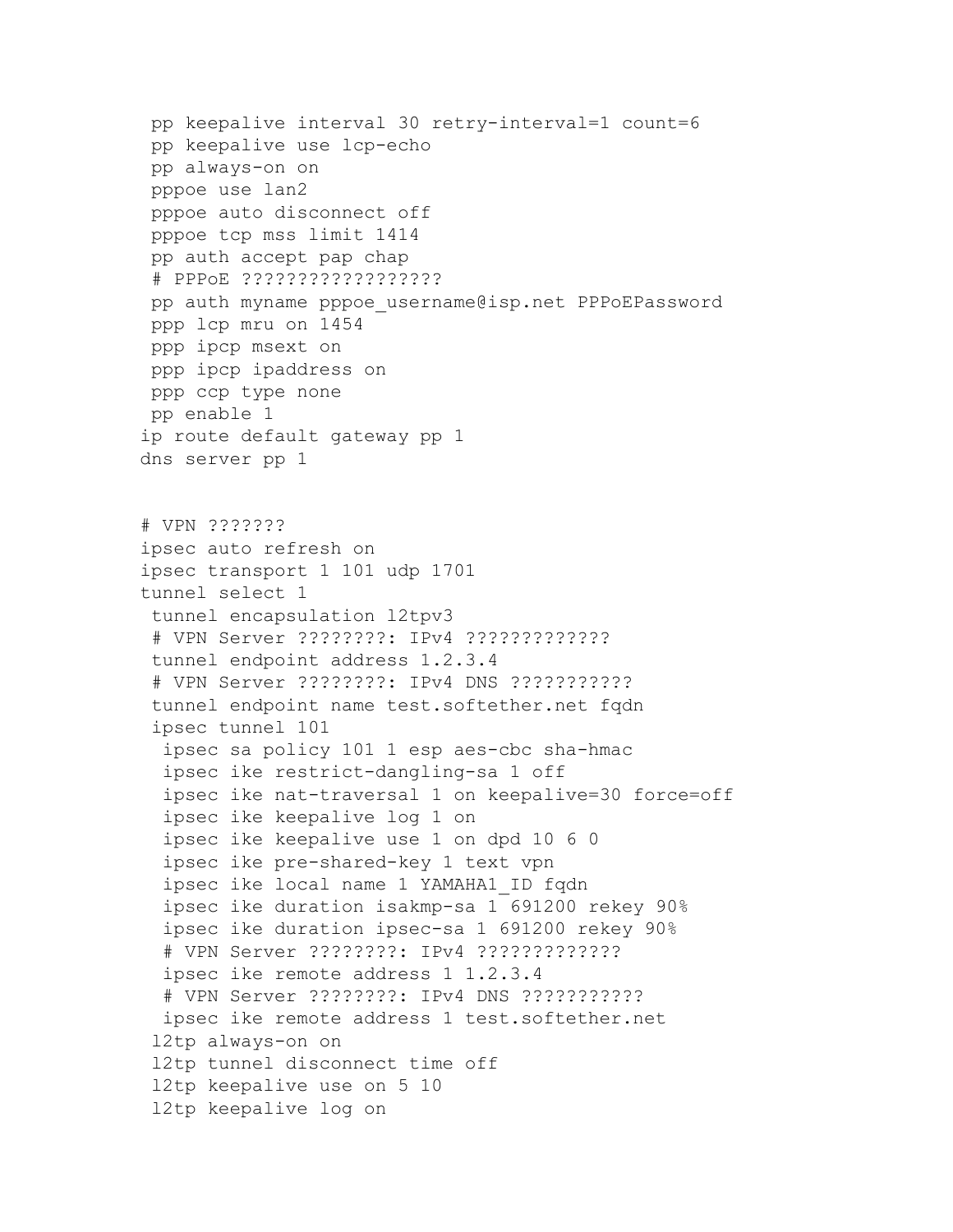pp keepalive interval 30 retry-interval=1 count=6 pp keepalive use lcp-echo pp always-on on pppoe use lan2 pppoe auto disconnect off pppoe tcp mss limit 1414 pp auth accept pap chap # PPPoE ?????????????????? pp auth myname pppoe username@isp.net PPPoEPassword ppp lcp mru on 1454 ppp ipcp msext on ppp ipcp ipaddress on ppp ccp type none pp enable 1 ip route default gateway pp 1 dns server pp 1 # VPN ??????? ipsec auto refresh on ipsec transport 1 101 udp 1701 tunnel select 1 tunnel encapsulation l2tpv3 # VPN Server ????????: IPv4 ????????????? tunnel endpoint address 1.2.3.4 # VPN Server ????????: IPv4 DNS ??????????? tunnel endpoint name test.softether.net fqdn ipsec tunnel 101 ipsec sa policy 101 1 esp aes-cbc sha-hmac ipsec ike restrict-dangling-sa 1 off ipsec ike nat-traversal 1 on keepalive=30 force=off ipsec ike keepalive log 1 on ipsec ike keepalive use 1 on dpd 10 6 0 ipsec ike pre-shared-key 1 text vpn ipsec ike local name 1 YAMAHA1\_ID fqdn ipsec ike duration isakmp-sa 1 691200 rekey 90% ipsec ike duration ipsec-sa 1 691200 rekey 90% # VPN Server ????????: IPv4 ????????????? ipsec ike remote address 1 1.2.3.4 # VPN Server ????????: IPv4 DNS ??????????? ipsec ike remote address 1 test.softether.net l2tp always-on on l2tp tunnel disconnect time off l2tp keepalive use on 5 10 l2tp keepalive log on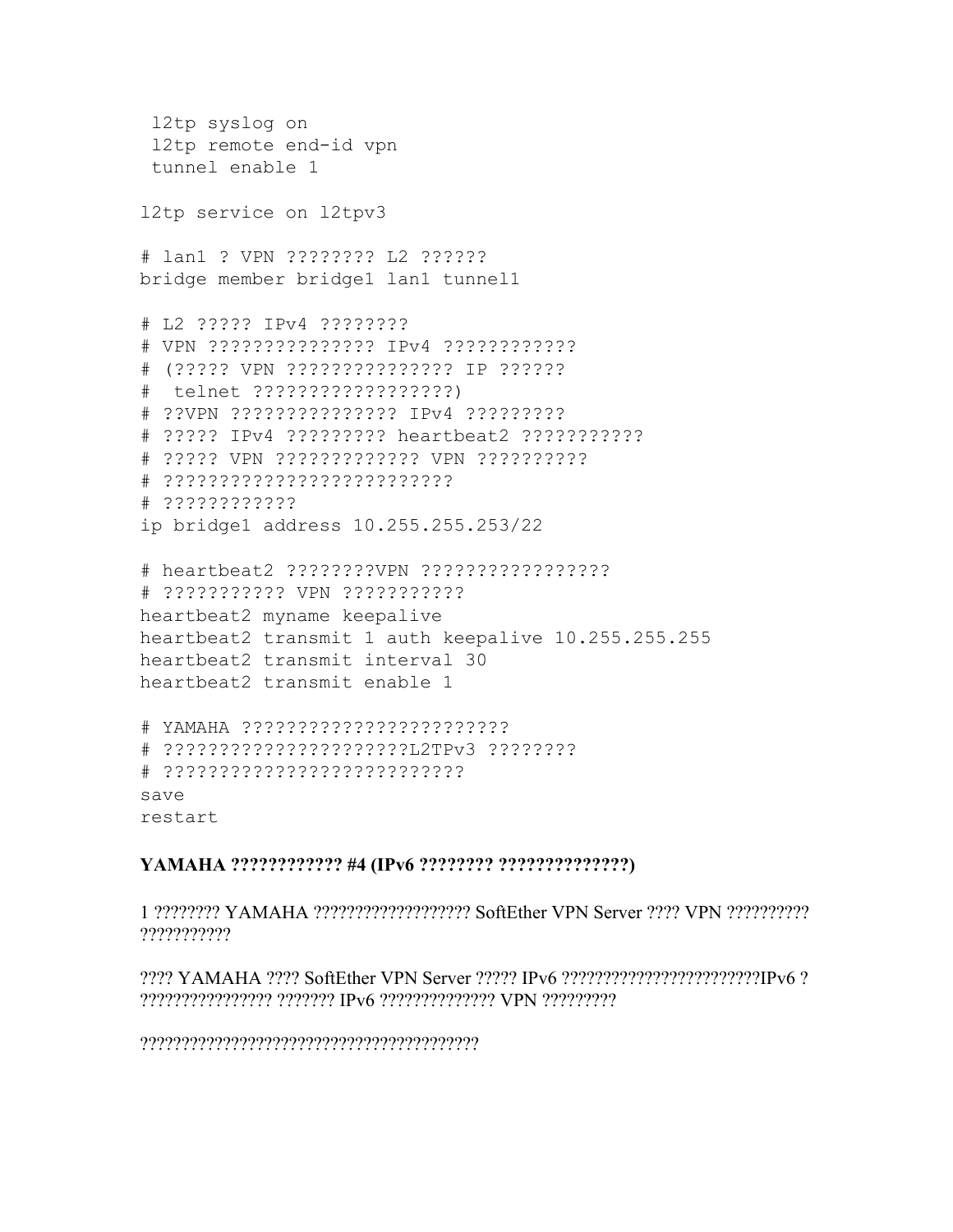```
l2tp syslog on
 l2tp remote end-id vpn
 tunnel enable 1
l2tp service on l2tpv3
# lan1 ? VPN ???????? L2 ??????
bridge member bridge1 lan1 tunnel1
# L2 ????? IPv4 ????????
# VPN ??????????????? IPv4 ????????????
# (????? VPN ??????????????? IP ??????
# telnet ??????????????????)
# ??VPN ??????????????? IPv4 ?????????
# ????? IPv4 ????????? heartbeat2 ???????????
# ????? VPN ????????????? VPN ??????????
# ??????????????????????????
# ????????????
ip bridge1 address 10.255.255.253/22
# heartbeat2 ????????VPN ?????????????????
# ??????????? VPN ???????????
heartbeat2 myname keepalive
heartbeat2 transmit 1 auth keepalive 10.255.255.255
heartbeat2 transmit interval 30
heartbeat2 transmit enable 1
# YAMAHA ????????????????????????
# ??????????????????????L2TPv3 ????????
# ???????????????????????????
save
```
restart

#### **YAMAHA ???????????? #4 (IPv6 ???????? ??????????????)**

1 ???????? YAMAHA ??????????????????? SoftEther VPN Server ???? VPN ?????????? ???????????

???? YAMAHA ???? SoftEther VPN Server ????? IPv6 ????????????????????????IPv6 ? ???????????????? ??????? IPv6 ?????????????? VPN ?????????

?????????????????????????????????????????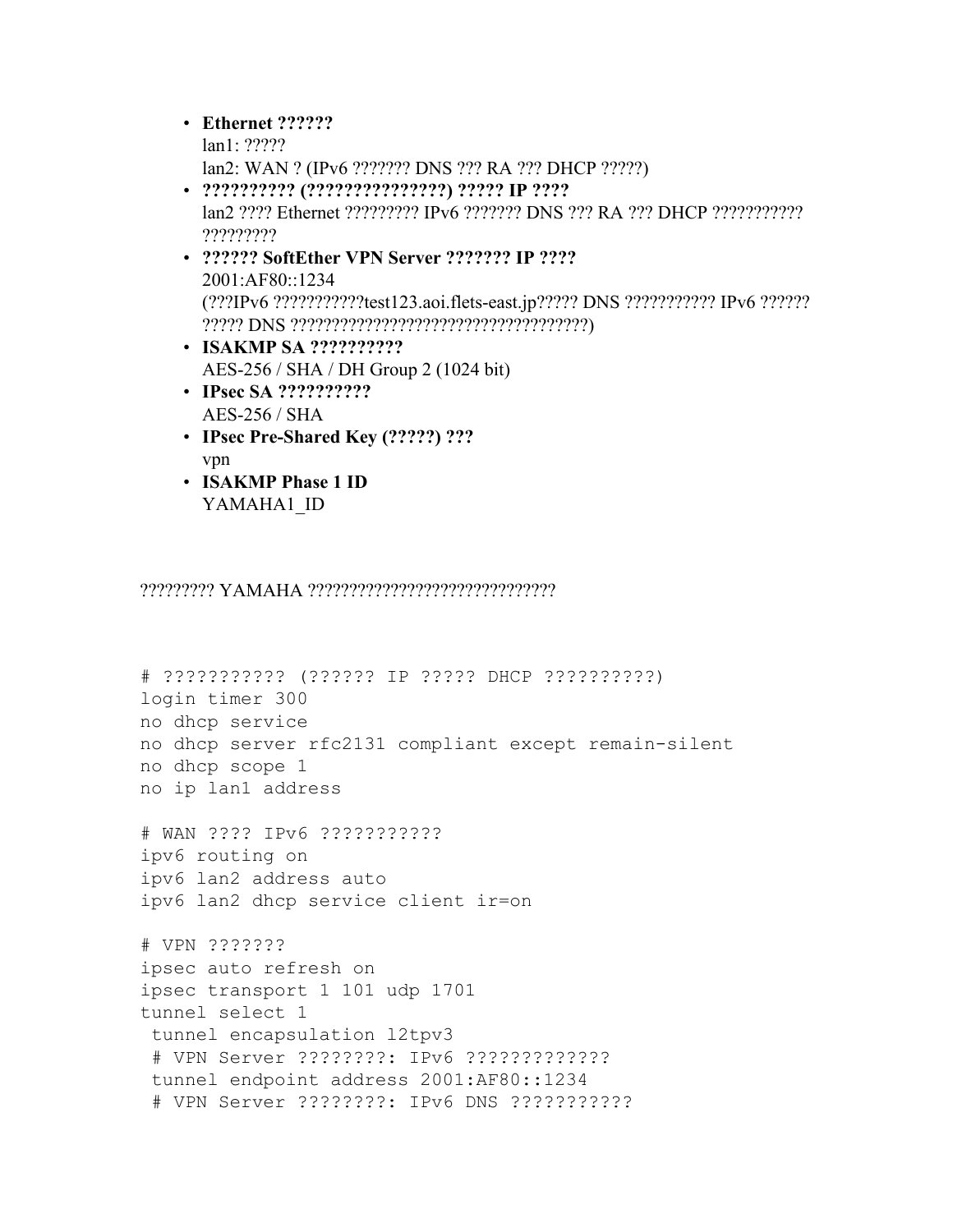#### • **Ethernet ??????**

- lan1: ????? lan2: WAN ? (IPv6 ??????? DNS ??? RA ??? DHCP ?????)
- **?????????? (???????????????) ????? IP ????** lan2 ???? Ethernet ????????? IPv6 ??????? DNS ??? RA ??? DHCP ??????????? ?????????
- **?????? SoftEther VPN Server ??????? IP ????** 2001:AF80::1234 (???IPv6 ???????????test123.aoi.flets-east.jp????? DNS ??????????? IPv6 ?????? ????? DNS ????????????????????????????????????)
- **ISAKMP SA ??????????** AES-256 / SHA / DH Group 2 (1024 bit)
- **IPsec SA ??????????** AES-256 / SHA
- **IPsec Pre-Shared Key (?????) ???** vpn
- **ISAKMP Phase 1 ID** YAMAHA1\_ID

????????? YAMAHA ??????????????????????????????

# ??????????? (?????? IP ????? DHCP ??????????) login timer 300 no dhcp service no dhcp server rfc2131 compliant except remain-silent no dhcp scope 1 no ip lan1 address

# WAN ???? IPv6 ??????????? ipv6 routing on ipv6 lan2 address auto ipv6 lan2 dhcp service client ir=on

# VPN ??????? ipsec auto refresh on ipsec transport 1 101 udp 1701 tunnel select 1 tunnel encapsulation l2tpv3 # VPN Server ????????: IPv6 ????????????? tunnel endpoint address 2001:AF80::1234 # VPN Server ????????: IPv6 DNS ???????????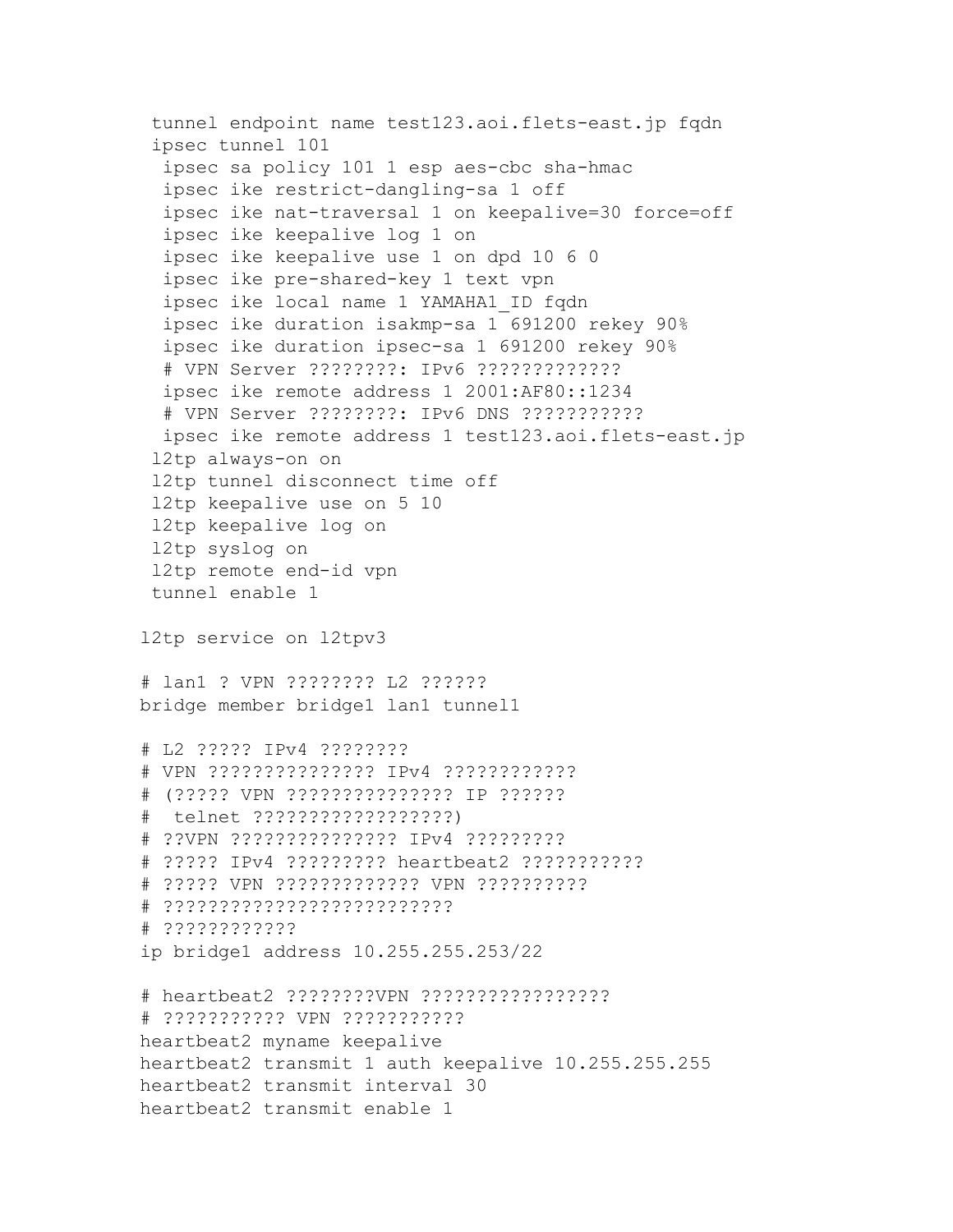```
tunnel endpoint name test123.aoi.flets-east.jp fqdn
 ipsec tunnel 101
  ipsec sa policy 101 1 esp aes-cbc sha-hmac
  ipsec ike restrict-dangling-sa 1 off
  ipsec ike nat-traversal 1 on keepalive=30 force=off
  ipsec ike keepalive log 1 on
  ipsec ike keepalive use 1 on dpd 10 6 0
  ipsec ike pre-shared-key 1 text vpn
  ipsec ike local name 1 YAMAHA1_ID fqdn
  ipsec ike duration isakmp-sa 1 691200 rekey 90%
  ipsec ike duration ipsec-sa 1 691200 rekey 90%
  # VPN Server ????????: IPv6 ?????????????
  ipsec ike remote address 1 2001:AF80::1234
  # VPN Server ????????: IPv6 DNS ???????????
  ipsec ike remote address 1 test123.aoi.flets-east.jp
 l2tp always-on on
 l2tp tunnel disconnect time off
 l2tp keepalive use on 5 10
 l2tp keepalive log on
 l2tp syslog on
 l2tp remote end-id vpn
 tunnel enable 1
l2tp service on l2tpv3
# lan1 ? VPN ???????? L2 ??????
bridge member bridge1 lan1 tunnel1
# L2 ????? IPv4 ????????
# VPN ??????????????? IPv4 ????????????
# (????? VPN ??????????????? IP ??????
# telnet ??????????????????)
# ??VPN ??????????????? IPv4 ?????????
# ????? IPv4 ????????? heartbeat2 ???????????
# ????? VPN ????????????? VPN ??????????
# ??????????????????????????
# ????????????
ip bridge1 address 10.255.255.253/22
# heartbeat2 ????????VPN ?????????????????
# ??????????? VPN ???????????
heartbeat2 myname keepalive
heartbeat2 transmit 1 auth keepalive 10.255.255.255
heartbeat2 transmit interval 30
heartbeat2 transmit enable 1
```